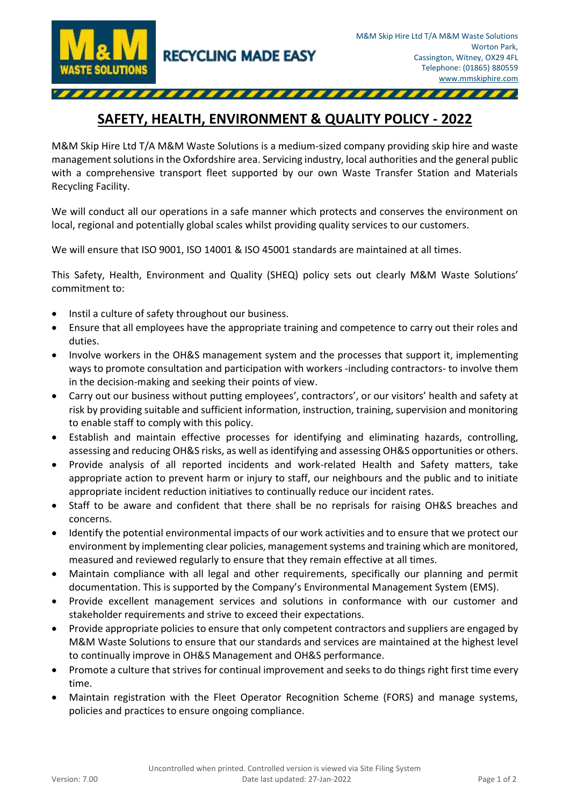

## **SAFETY, HEALTH, ENVIRONMENT & QUALITY POLICY - 2022**

M&M Skip Hire Ltd T/A M&M Waste Solutions is a medium-sized company providing skip hire and waste management solutions in the Oxfordshire area. Servicing industry, local authorities and the general public with a comprehensive transport fleet supported by our own Waste Transfer Station and Materials Recycling Facility.

We will conduct all our operations in a safe manner which protects and conserves the environment on local, regional and potentially global scales whilst providing quality services to our customers.

We will ensure that ISO 9001, ISO 14001 & ISO 45001 standards are maintained at all times.

This Safety, Health, Environment and Quality (SHEQ) policy sets out clearly M&M Waste Solutions' commitment to:

- Instil a culture of safety throughout our business.
- Ensure that all employees have the appropriate training and competence to carry out their roles and duties.
- Involve workers in the OH&S management system and the processes that support it, implementing ways to promote consultation and participation with workers -including contractors- to involve them in the decision-making and seeking their points of view.
- Carry out our business without putting employees', contractors', or our visitors' health and safety at risk by providing suitable and sufficient information, instruction, training, supervision and monitoring to enable staff to comply with this policy.
- Establish and maintain effective processes for identifying and eliminating hazards, controlling, assessing and reducing OH&S risks, as well as identifying and assessing OH&S opportunities or others.
- Provide analysis of all reported incidents and work-related Health and Safety matters, take appropriate action to prevent harm or injury to staff, our neighbours and the public and to initiate appropriate incident reduction initiatives to continually reduce our incident rates.
- Staff to be aware and confident that there shall be no reprisals for raising OH&S breaches and concerns.
- Identify the potential environmental impacts of our work activities and to ensure that we protect our environment by implementing clear policies, management systems and training which are monitored, measured and reviewed regularly to ensure that they remain effective at all times.
- Maintain compliance with all legal and other requirements, specifically our planning and permit documentation. This is supported by the Company's Environmental Management System (EMS).
- Provide excellent management services and solutions in conformance with our customer and stakeholder requirements and strive to exceed their expectations.
- Provide appropriate policies to ensure that only competent contractors and suppliers are engaged by M&M Waste Solutions to ensure that our standards and services are maintained at the highest level to continually improve in OH&S Management and OH&S performance.
- Promote a culture that strives for continual improvement and seeks to do things right first time every time.
- Maintain registration with the Fleet Operator Recognition Scheme (FORS) and manage systems, policies and practices to ensure ongoing compliance.